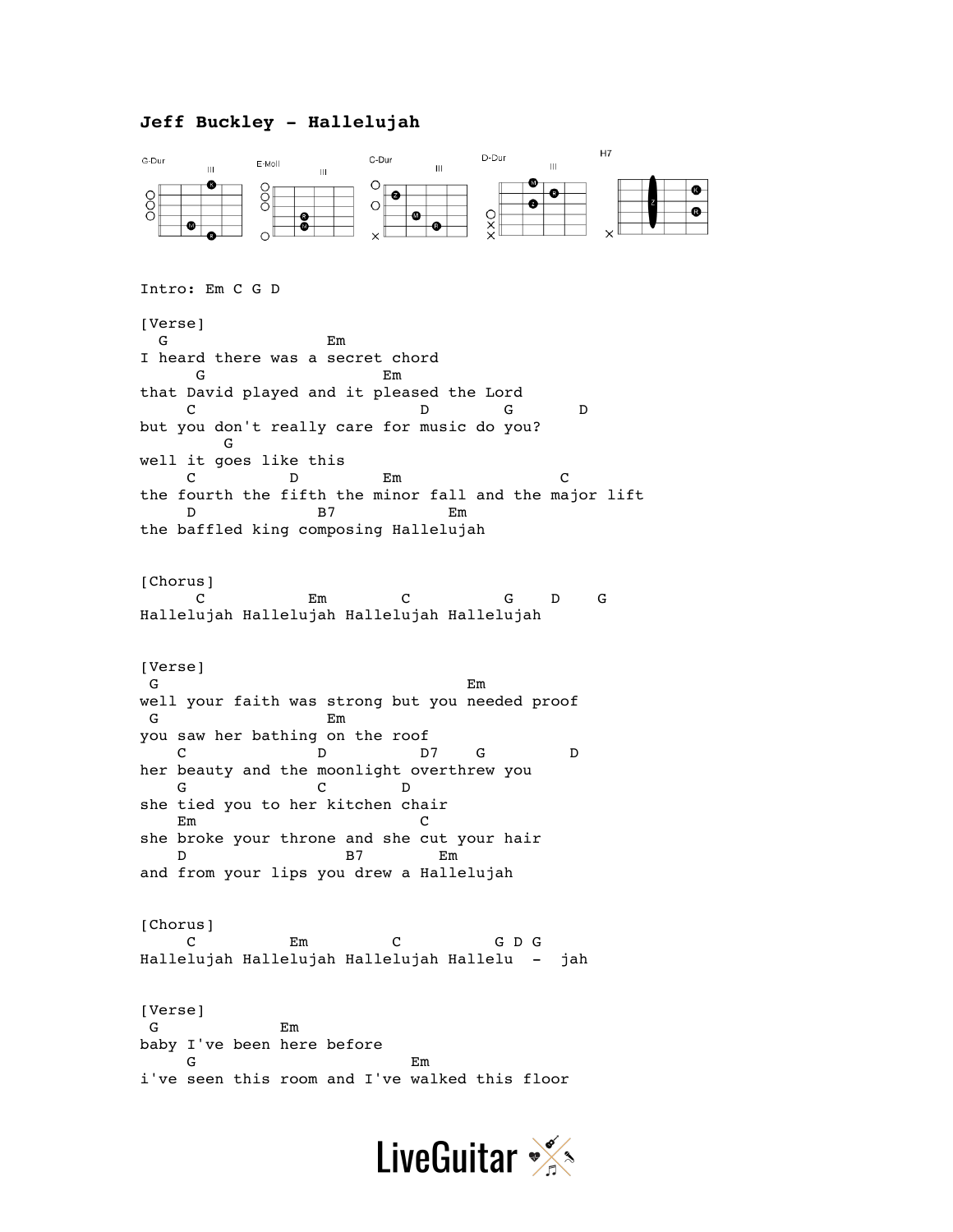## **Jeff Buckley - Hallelujah**